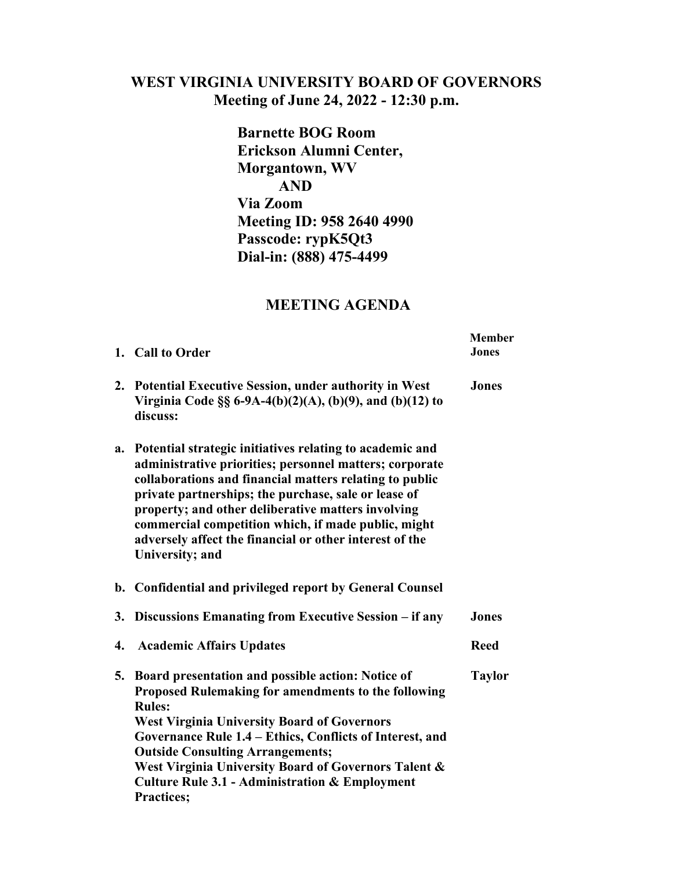## **WEST VIRGINIA UNIVERSITY BOARD OF GOVERNORS Meeting of June 24, 2022 - 12:30 p.m.**

**Barnette BOG Room Erickson Alumni Center, Morgantown, WV AND Via Zoom Meeting ID: 958 2640 4990 Passcode: rypK5Qt3 Dial-in: (888) 475-4499** 

## **MEETING AGENDA**

|                | 1. Call to Order                                                                                                                                                                                                                                                                                                                                                                                                                  | <b>Member</b><br><b>Jones</b> |
|----------------|-----------------------------------------------------------------------------------------------------------------------------------------------------------------------------------------------------------------------------------------------------------------------------------------------------------------------------------------------------------------------------------------------------------------------------------|-------------------------------|
| 2.             | <b>Potential Executive Session, under authority in West</b><br>Virginia Code §§ 6-9A-4(b)(2)(A), (b)(9), and (b)(12) to<br>discuss:                                                                                                                                                                                                                                                                                               | <b>Jones</b>                  |
| a.             | Potential strategic initiatives relating to academic and<br>administrative priorities; personnel matters; corporate<br>collaborations and financial matters relating to public<br>private partnerships; the purchase, sale or lease of<br>property; and other deliberative matters involving<br>commercial competition which, if made public, might<br>adversely affect the financial or other interest of the<br>University; and |                               |
| $\mathbf{b}$ . | Confidential and privileged report by General Counsel                                                                                                                                                                                                                                                                                                                                                                             |                               |
| 3.             | Discussions Emanating from Executive Session – if any                                                                                                                                                                                                                                                                                                                                                                             | <b>Jones</b>                  |
| 4.             | <b>Academic Affairs Updates</b>                                                                                                                                                                                                                                                                                                                                                                                                   | <b>Reed</b>                   |
| 5.             | Board presentation and possible action: Notice of<br>Proposed Rulemaking for amendments to the following<br><b>Rules:</b><br><b>West Virginia University Board of Governors</b><br>Governance Rule 1.4 - Ethics, Conflicts of Interest, and<br><b>Outside Consulting Arrangements;</b><br>West Virginia University Board of Governors Talent &<br><b>Culture Rule 3.1 - Administration &amp; Employment</b><br><b>Practices;</b>  | <b>Taylor</b>                 |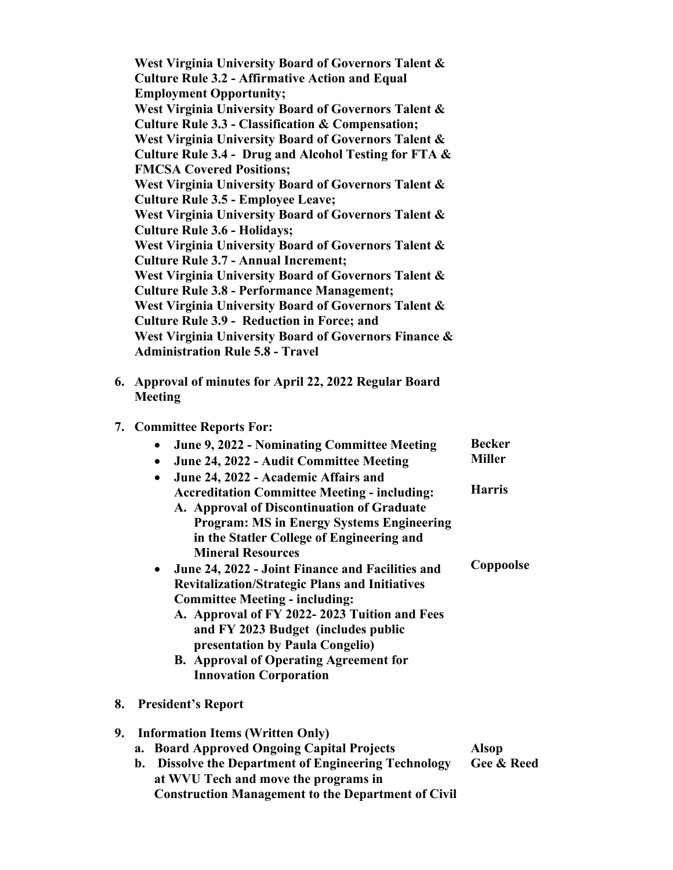**West Virginia University Board of Governors Talent & Culture Rule 3.2 - Affirmative Action and Equal Employment Opportunity; West Virginia University Board of Governors Talent & Culture Rule 3.3 - Classification & Compensation; West Virginia University Board of Governors Talent & Culture Rule 3.4 - Drug and Alcohol Testing for FTA & FMCSA Covered Positions; West Virginia University Board of Governors Talent & Culture Rule 3.5 - Employee Leave; West Virginia University Board of Governors Talent & Culture Rule 3.6 - Holidays; West Virginia University Board of Governors Talent & Culture Rule 3.7 - Annual Increment; West Virginia University Board of Governors Talent & Culture Rule 3.8 - Performance Management; West Virginia University Board of Governors Talent & Culture Rule 3.9 - Reduction in Force; and West Virginia University Board of Governors Finance & Administration Rule 5.8 - Travel**

**6. Approval of minutes for April 22, 2022 Regular Board Meeting** 

## **7. Committee Reports For:**

|    | June 9, 2022 - Nominating Committee Meeting<br>$\bullet$<br>June 24, 2022 - Audit Committee Meeting<br>$\bullet$<br>June 24, 2022 - Academic Affairs and<br>$\bullet$                                                                                                                                                                                            | <b>Becker</b><br><b>Miller</b> |
|----|------------------------------------------------------------------------------------------------------------------------------------------------------------------------------------------------------------------------------------------------------------------------------------------------------------------------------------------------------------------|--------------------------------|
|    | <b>Accreditation Committee Meeting - including:</b><br>A. Approval of Discontinuation of Graduate<br><b>Program: MS in Energy Systems Engineering</b><br>in the Statler College of Engineering and<br><b>Mineral Resources</b>                                                                                                                                   | <b>Harris</b>                  |
|    | • June 24, 2022 - Joint Finance and Facilities and<br><b>Revitalization/Strategic Plans and Initiatives</b><br><b>Committee Meeting - including:</b><br>A. Approval of FY 2022-2023 Tuition and Fees<br>and FY 2023 Budget (includes public<br>presentation by Paula Congelio)<br><b>B.</b> Approval of Operating Agreement for<br><b>Innovation Corporation</b> | Coppoolse                      |
| 8. | <b>President's Report</b>                                                                                                                                                                                                                                                                                                                                        |                                |
| 9. | <b>Information Items (Written Only)</b><br>a. Board Approved Ongoing Capital Projects<br>b. Dissolve the Department of Engineering Technology<br>at WVU Tech and move the programs in<br><b>Construction Management to the Department of Civil</b>                                                                                                               | <b>Alsop</b><br>Gee & Reed     |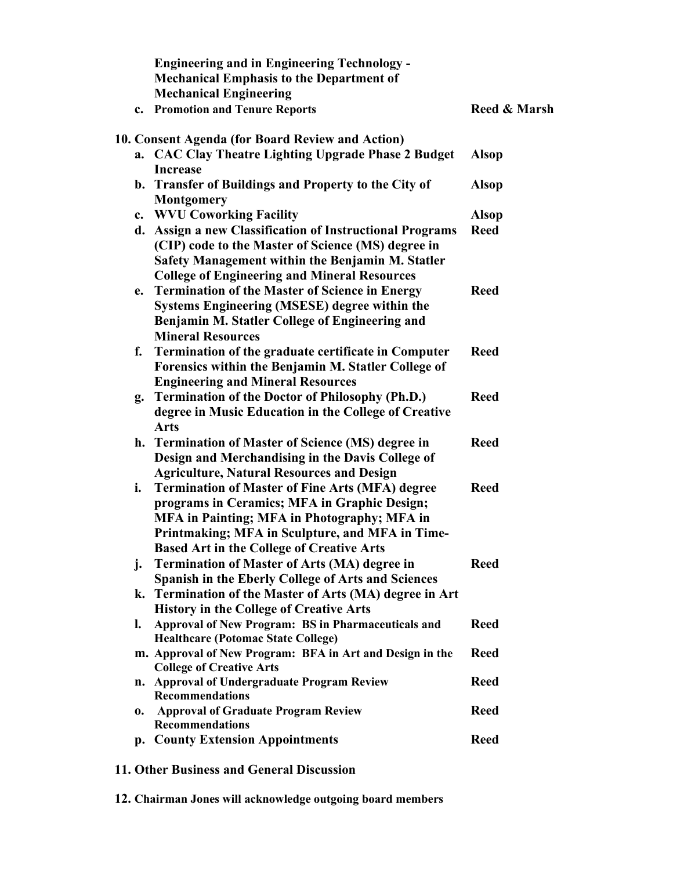|    | <b>Engineering and in Engineering Technology -</b><br><b>Mechanical Emphasis to the Department of</b> |              |
|----|-------------------------------------------------------------------------------------------------------|--------------|
|    | <b>Mechanical Engineering</b>                                                                         |              |
|    | c. Promotion and Tenure Reports                                                                       | Reed & Marsh |
|    | 10. Consent Agenda (for Board Review and Action)                                                      |              |
|    | a. CAC Clay Theatre Lighting Upgrade Phase 2 Budget                                                   | <b>Alsop</b> |
|    | <b>Increase</b>                                                                                       |              |
|    | b. Transfer of Buildings and Property to the City of                                                  | Alsop        |
|    | <b>Montgomery</b>                                                                                     |              |
|    | c. WVU Coworking Facility                                                                             | <b>Alsop</b> |
| d. | <b>Assign a new Classification of Instructional Programs</b>                                          | <b>Reed</b>  |
|    | (CIP) code to the Master of Science (MS) degree in                                                    |              |
|    | Safety Management within the Benjamin M. Statler                                                      |              |
|    | <b>College of Engineering and Mineral Resources</b>                                                   |              |
| e. | <b>Termination of the Master of Science in Energy</b>                                                 | <b>Reed</b>  |
|    | <b>Systems Engineering (MSESE) degree within the</b>                                                  |              |
|    | Benjamin M. Statler College of Engineering and                                                        |              |
|    | <b>Mineral Resources</b>                                                                              |              |
| f. | Termination of the graduate certificate in Computer                                                   | <b>Reed</b>  |
|    | Forensics within the Benjamin M. Statler College of                                                   |              |
|    | <b>Engineering and Mineral Resources</b>                                                              |              |
| g. | <b>Termination of the Doctor of Philosophy (Ph.D.)</b>                                                | <b>Reed</b>  |
|    | degree in Music Education in the College of Creative                                                  |              |
|    | <b>Arts</b>                                                                                           |              |
| h. | <b>Termination of Master of Science (MS) degree in</b>                                                | <b>Reed</b>  |
|    | Design and Merchandising in the Davis College of                                                      |              |
|    | <b>Agriculture, Natural Resources and Design</b>                                                      |              |
| i. | <b>Termination of Master of Fine Arts (MFA) degree</b>                                                | <b>Reed</b>  |
|    | programs in Ceramics; MFA in Graphic Design;                                                          |              |
|    | <b>MFA in Painting; MFA in Photography; MFA in</b>                                                    |              |
|    | Printmaking; MFA in Sculpture, and MFA in Time-                                                       |              |
|    | <b>Based Art in the College of Creative Arts</b>                                                      |              |
| j. | <b>Termination of Master of Arts (MA) degree in</b>                                                   | <b>Reed</b>  |
|    | Spanish in the Eberly College of Arts and Sciences                                                    |              |
|    | k. Termination of the Master of Arts (MA) degree in Art                                               |              |
|    | <b>History in the College of Creative Arts</b>                                                        |              |
| I. | <b>Approval of New Program: BS in Pharmaceuticals and</b>                                             | <b>Reed</b>  |
|    | <b>Healthcare (Potomac State College)</b>                                                             |              |
|    | m. Approval of New Program: BFA in Art and Design in the                                              | <b>Reed</b>  |
|    | <b>College of Creative Arts</b>                                                                       | <b>Reed</b>  |
|    | n. Approval of Undergraduate Program Review<br><b>Recommendations</b>                                 |              |
| 0. | <b>Approval of Graduate Program Review</b>                                                            | <b>Reed</b>  |
|    | <b>Recommendations</b>                                                                                |              |
|    | p. County Extension Appointments                                                                      | <b>Reed</b>  |
|    |                                                                                                       |              |

**11. Other Business and General Discussion** 

**12. Chairman Jones will acknowledge outgoing board members**